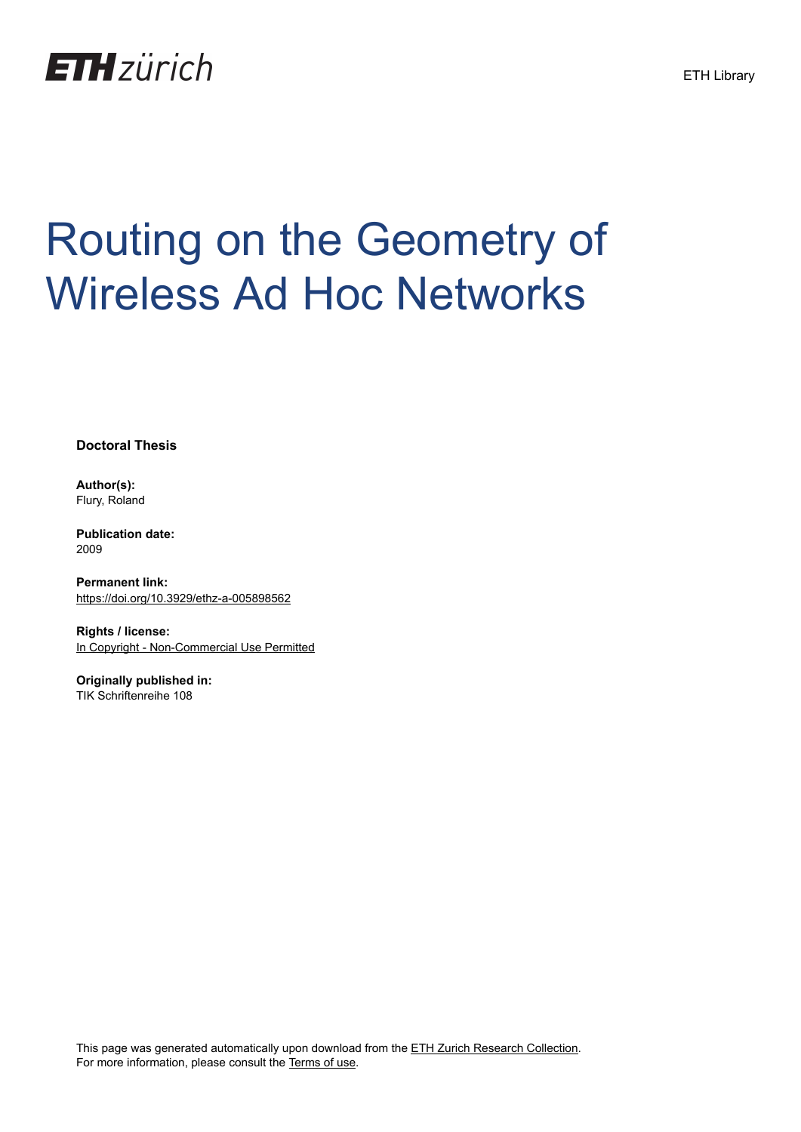

# Routing on the Geometry of Wireless Ad Hoc Networks

**Doctoral Thesis**

**Author(s):** Flury, Roland

**Publication date:** 2009

**Permanent link:** <https://doi.org/10.3929/ethz-a-005898562>

**Rights / license:** [In Copyright - Non-Commercial Use Permitted](http://rightsstatements.org/page/InC-NC/1.0/)

**Originally published in:** TIK Schriftenreihe 108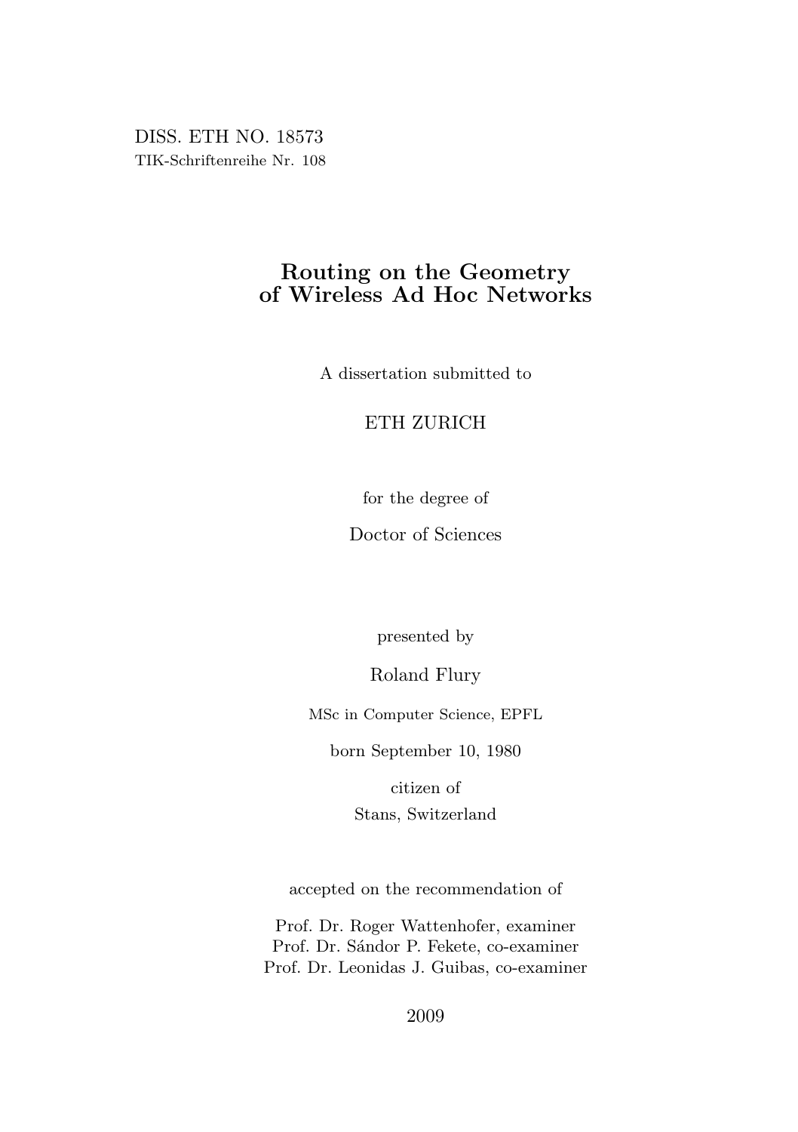DISS. ETH NO. 18573 TIK-Schriftenreihe Nr. 108

# Routing on the Geometry of Wireless Ad Hoc Networks

A dissertation submitted to

## ETH ZURICH

for the degree of

Doctor of Sciences

presented by

Roland Flury

MSc in Computer Science, EPFL

born September 10, 1980

citizen of Stans, Switzerland

accepted on the recommendation of

Prof. Dr. Roger Wattenhofer, examiner Prof. Dr. Sándor P. Fekete, co-examiner Prof. Dr. Leonidas J. Guibas, co-examiner

2009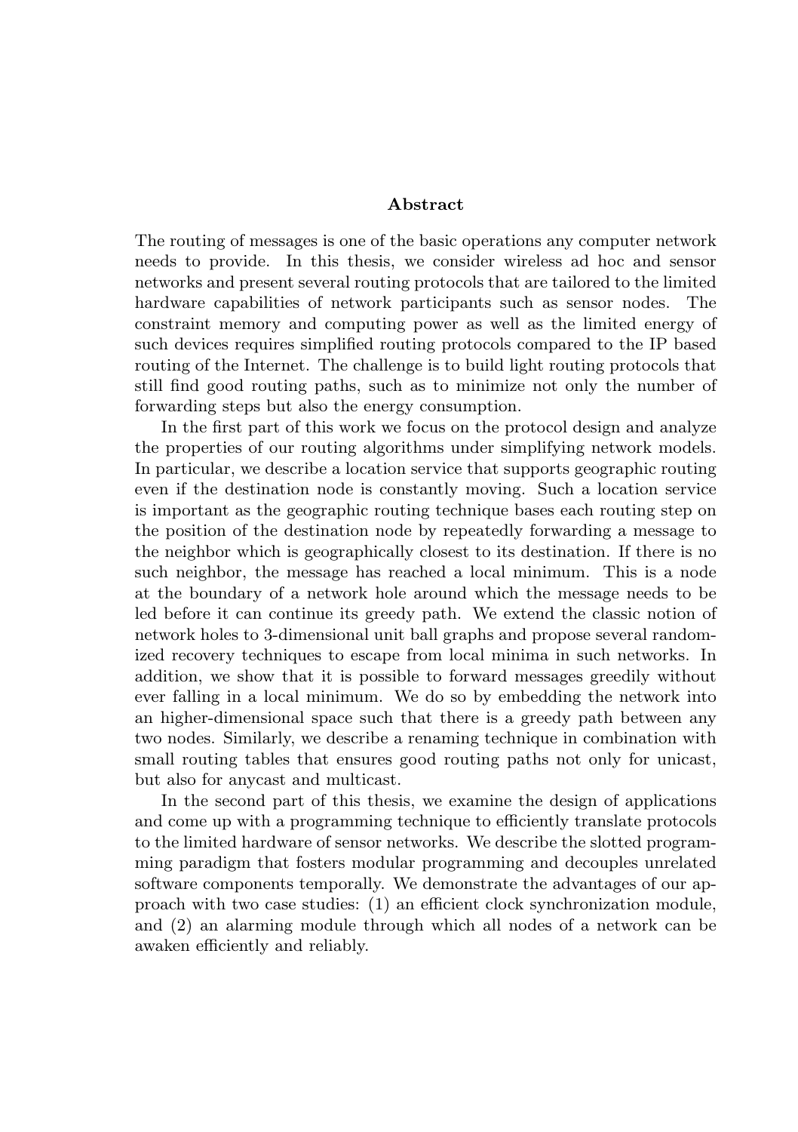#### Abstract

The routing of messages is one of the basic operations any computer network needs to provide. In this thesis, we consider wireless ad hoc and sensor networks and present several routing protocols that are tailored to the limited hardware capabilities of network participants such as sensor nodes. The constraint memory and computing power as well as the limited energy of such devices requires simplified routing protocols compared to the IP based routing of the Internet. The challenge is to build light routing protocols that still find good routing paths, such as to minimize not only the number of forwarding steps but also the energy consumption.

In the first part of this work we focus on the protocol design and analyze the properties of our routing algorithms under simplifying network models. In particular, we describe a location service that supports geographic routing even if the destination node is constantly moving. Such a location service is important as the geographic routing technique bases each routing step on the position of the destination node by repeatedly forwarding a message to the neighbor which is geographically closest to its destination. If there is no such neighbor, the message has reached a local minimum. This is a node at the boundary of a network hole around which the message needs to be led before it can continue its greedy path. We extend the classic notion of network holes to 3-dimensional unit ball graphs and propose several randomized recovery techniques to escape from local minima in such networks. In addition, we show that it is possible to forward messages greedily without ever falling in a local minimum. We do so by embedding the network into an higher-dimensional space such that there is a greedy path between any two nodes. Similarly, we describe a renaming technique in combination with small routing tables that ensures good routing paths not only for unicast, but also for anycast and multicast.

In the second part of this thesis, we examine the design of applications and come up with a programming technique to efficiently translate protocols to the limited hardware of sensor networks. We describe the slotted programming paradigm that fosters modular programming and decouples unrelated software components temporally. We demonstrate the advantages of our approach with two case studies: (1) an efficient clock synchronization module, and (2) an alarming module through which all nodes of a network can be awaken efficiently and reliably.